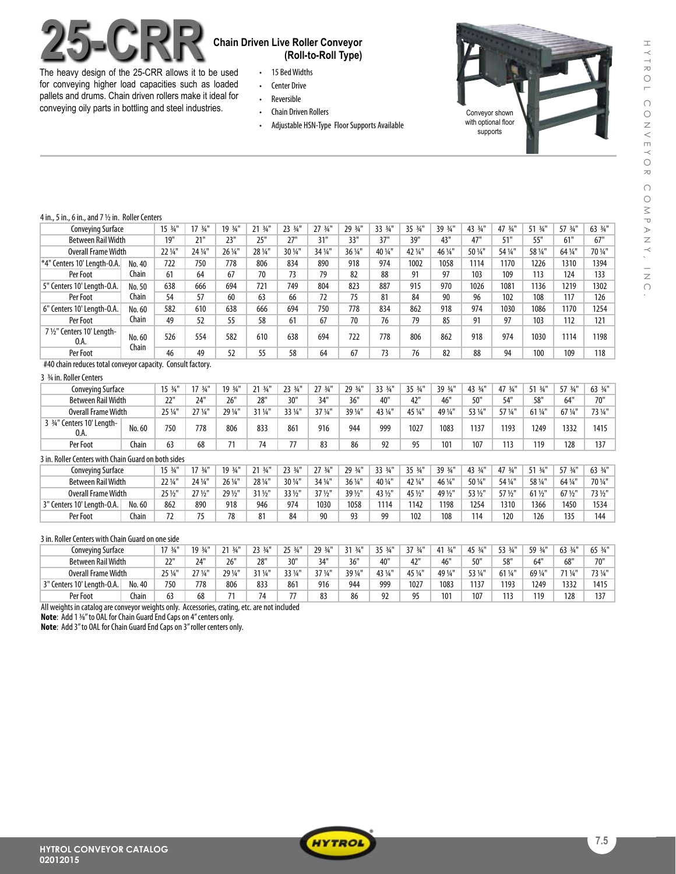

The heavy design of the 25-CRR allows it to be used for conveying higher load capacities such as loaded pallets and drums. Chain driven rollers make it ideal for conveying oily parts in bottling and steel industries.

## **25-CRR Chain Driven Live Roller Conveyor (Roll-to-Roll Type)**

- • 15 BedWidths
- • Center Drive
- • Reversible • Chain Driven Rollers
- Adjustable HSN-Type Floor Supports Available



#### 4 in.,5 in.,6 in., and 7 1/2 in., Roller Centers

| . <i>., 5 ., 6 , and <i>r</i> 72  noner centers</i> |                 |         |                    |         |         |         |         |         |         |         |         |         |         |         |         |         |
|-----------------------------------------------------|-----------------|---------|--------------------|---------|---------|---------|---------|---------|---------|---------|---------|---------|---------|---------|---------|---------|
| Conveying Surface                                   |                 | 15 3/4" | $17 \frac{3}{4}$ " | 19 3/4" | 21 3/4" | 23 3/4" | 27 3/4" | 29 3/4" | 33 3/4" | 35 3/4" | 39 3/4" | 43 3/4" | 47 3/4" | 51 3/4" | 57 3/4" | 63 3/4" |
| <b>Between Rail Width</b>                           |                 | 19"     | 21"                | 23"     | 25"     | 27"     | 31"     | 33"     | 37"     | 39"     | 43"     | 47"     | 51"     | 55"     | 61"     | 67"     |
| Overall Frame Width                                 |                 | 22 1/4" | 24 1/4"            | 26 1/4" | 28 1/4" | 30 1/4" | 34 1/4" | 36 1/4" | 40 1/4" | 42 1/4" | 46 1/4" | 50 1/4" | 54 1/4" | 58 1/4" | 64 1/4" | 70 1/4" |
| <sup>*4"</sup> Centers 10' Length-O.A.              | No. 40          | 722     | 750                | 778     | 806     | 834     | 890     | 918     | 974     | 1002    | 1058    | 1114    | 1170    | 1226    | 1310    | 1394    |
| Per Foot                                            | Chain           | 61      | 64                 | 67      | 70      | 73      | 79      | 82      | 88      | 91      | 97      | 103     | 109     | 113     | 124     | 133     |
| 5" Centers 10' Length-O.A.                          | No. 50          | 638     | 666                | 694     | 721     | 749     | 804     | 823     | 887     | 915     | 970     | 1026    | 1081    | 1136    | 1219    | 1302    |
| Per Foot                                            | Chain           | 54      | 57                 | 60      | 63      | 66      | 72      | 75      | 81      | 84      | 90      | 96      | 102     | 108     | 117     | 126     |
| 6" Centers 10' Length-O.A.                          | No. 60          | 582     | 610                | 638     | 666     | 694     | 750     | 778     | 834     | 862     | 918     | 974     | 1030    | 1086    | 1170    | 1254    |
| Per Foot                                            | Chain           | 49      | 52                 | 55      | 58      | 61      | 67      | 70      | 76      | 79      | 85      | 91      | 97      | 103     | 112     | 121     |
| 7 1/2" Centers 10' Length-<br>0.A.                  | No. 60<br>Chain | 526     | 554                | 582     | 610     | 638     | 694     | 722     | 778     | 806     | 862     | 918     | 974     | 1030    | 1114    | 1198    |
| Per Foot                                            |                 | 46      | 49                 | 52      | 55      | 58      | 64      | 67      | 73      | 76      | 82      | 88      | 94      | 100     | 109     | 118     |

#40 chain reduces total conveyor capacity. Consult factory.

### 3 3/4 in. Roller Centers

| <b>Conveying Surface</b>                  |        | $15 \frac{3}{4}$ " | $17.34$ "          | $10.34$ " | $3/4$ <sup>11</sup> | 23 3/4" | $27 \frac{3}{4}$ " | 29 3/4' | $33.34$ " | $35.3/$ " | 39 3/4"         | 43 3/4" | 47 3/4" | 51 3/4" | 57 3/4"              | 63 3/4" |
|-------------------------------------------|--------|--------------------|--------------------|-----------|---------------------|---------|--------------------|---------|-----------|-----------|-----------------|---------|---------|---------|----------------------|---------|
| Between Rail Width                        |        | יירר<br>ᅩ          | 24"                | 26"       | 28"                 | 30"     | 34"                | 36"     | 40"       | 42"       | 46"             | 50'     | 54'     | 58"     | 64"                  | 70"     |
| Overall Frame Width                       |        | 25 1/4"            | $27$ $\frac{1}{4}$ | 29 1/4'   | 31 1/4"             | 33 1/4" | 37 1/4"            | 39 1/4" | 43 1/4"   | 45 1/4    | 49 1/4          | 53 1/4" | 57 ¼"   | 61 1/4" | $67$ $\frac{1}{4}$ " | 73 1/4" |
| $3^{3}/4"$<br>Centers 10' Length-<br>0.A. | No. 60 | 750                | 778                | 806       | 833                 | 861     | 916                | 944     | 999       | 1027      | 1083            | 1137    | 1193    | 1249    | 1332                 | 1415    |
| Per Foot                                  | Chain  | 63                 | 68                 |           | 74                  | 77      | 83                 | 86      | 97<br>ᄼ   | 95        | 10 <sup>1</sup> | 107     | 113     | 119     | 128                  | 137     |

### 3 in. Roller Centers with Chain Guard on both sides

| Conveving Surface          |        | 15.34"  | $17.34$ <sup>11</sup> | 10 3/4" | $3/4$ <sup>11</sup> | 72 34"  | $27.34$ " | 29 3/4  | 22.3/1    | 35 3/4" | 39 3/4" | 43 3/4" | 47 3/4' | 51.34           | 57 3/4" | 63 3/4" |
|----------------------------|--------|---------|-----------------------|---------|---------------------|---------|-----------|---------|-----------|---------|---------|---------|---------|-----------------|---------|---------|
| <b>Between Rail Width</b>  |        | 22 1/4" | 24 1/4"               | 26 1/4" | 28 1/4"             | 30 1/4" | 34 1/4"   | 36 1/4" | 40 1/4"   | 42 1/4" | 46 1/4" | 50 1/4" | 54 1/4" | 58 ¼"           | 64 1/4" | 70 1/4" |
| <b>Overall Frame Width</b> |        | 25 1/2" | $27\frac{1}{2}$       | 29 1/2  | 31 1/2"             | 33 1/2" | 37 1/2"   | 39 1/2" | 43 1/2"   | 45 1/2" | 49 1/2  | 53 1/2" | 57 1/2" | $61\frac{1}{2}$ | 67 1/2" | 73 1/2" |
| 3" Centers 10' Lenath-O.A. | No. 60 | 862     | 890                   | 918     | 946                 | 974     | 1030      | 1058    | 1114      | 1142    | 1198    | 1254    | 1310    | 1366            | 1450    | 1534    |
| Per Foot                   | Chain  | 70      | 7r                    | 70      | 81                  | 84      | 90        | Q3      | <b>QQ</b> | 102     | 108     | 114     | 120     | 126             | 135     | 144     |

#### 3 in. Roller Centers with Chain Guard on one side

| <b>Conveying Surface</b>   |        | $17.34$ "     | 19 3/4"              | $3/4$ <sup>11</sup><br>า 1 | 23 3/4"<br>رے | 25 3/4<br>رے | 29 3/4  | 21.34"  | $25.34$ " | 27<br>3/4 | 41.34   | 45 3/4  | 53 3/4' | 59 3/4" | 63 3/4" | $65\frac{3}{4}$ " |
|----------------------------|--------|---------------|----------------------|----------------------------|---------------|--------------|---------|---------|-----------|-----------|---------|---------|---------|---------|---------|-------------------|
| <b>Between Rail Width</b>  |        | ᅩ             | 24"                  | 26"                        | 28"           | 30"          | 34"     | 36"     | 40"       | 42"       | 46"     | 50"     | 58"     | 64"     | 68"     | 70"               |
| <b>Overall Frame Width</b> |        | 251/1<br>س دے | $27$ $\frac{1}{4}$ " | 29 1/4"                    | 31 1/4"       | 33 1/4"      | 37 1/4" | 39 1/4" | 43 1/4"   | 45 1/4"   | 49 1/4" | 53 1/4" | 61 1/4" | 69 ¼"   | 71 1/4" | 73 1/4"           |
| Centers 10' Length-O.A.    | No. 40 | 750           | 778                  | 806                        | 833           | 861          | 916     | 944     | 999       | 1027      | 1083    | 1137    | 1193    | 1249    | 1332    | 1415              |
| Per Foot                   | Chain  | 63            | 68                   |                            | 74            | 77           | 83      | 86      | റാ        | ۵Ę        | 101     | 107     |         | 119     | 128     | 137               |

All weights in catalog are conveyor weights only. Accessories, crating, etc. are not included

**Note:** Add 1 <sup>3</sup>%" to OAL for Chain Guard End Caps on 4" centers only.

**Note**: Add 3" to OAL for Chain Guard End Caps on 3" roller centers only.